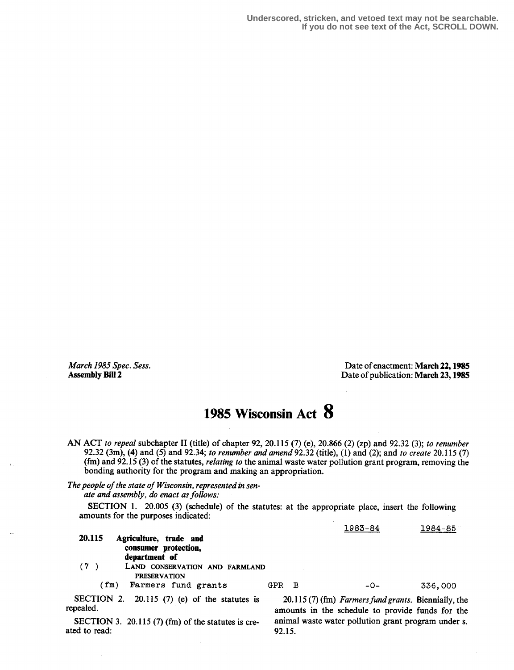ÎΙ

March 1985 Spec. Sess.<br> **March 1985 Spec. Sess.** Date of enactment: March 22, 1985<br>
Date of publication: March 23, 1985 Date of publication: March 23, 1985

## 1985 Wisconsin Act 8

AN ACT to repeal subchapter II (title) of chapter 92, 20.115 (7) (e), 20.866 (2) (zp) and 92.32 (3); to renumber 92.32 (3m), (4) and (5) and 92.34; to renumber and amend 92.32 (title), (1) and (2); and to create 20.115 (7) (fm) and 92.15 (3) of the statutes, relating to the animal waste water pollution grant program, removing the bonding authority for the program and making an appropriation.

The people of the state of Wisconsin, represented in sen-

ate and assembly, do enact as follows:

SECTION 1. 20.005 (3) (schedule) of the statutes: at the appropriate place, insert the following amounts for the purposes indicated:

| 20.115 | Agriculture, trade and<br>consumer protection,  |       | 1983-84 | 1984-85 |
|--------|-------------------------------------------------|-------|---------|---------|
| (7)    | department of<br>LAND CONSERVATION AND FARMLAND |       |         |         |
| (fm)   | <b>PRESERVATION</b><br>Farmers fund grants      | GPR B | $-0-$   | 336,000 |

SECTION 2. 20.115 (7) (e) of the statutes is  $20.115(7)$  (fm) Farmers fund grants. Biennially, the repealed.

SECTION 3. 20.115 (7) (fm) of the statutes is cre-<br>ed to read: 92.15. ated to read:

amounts in the schedule to provide funds for the animal waste water pollution grant program under s.